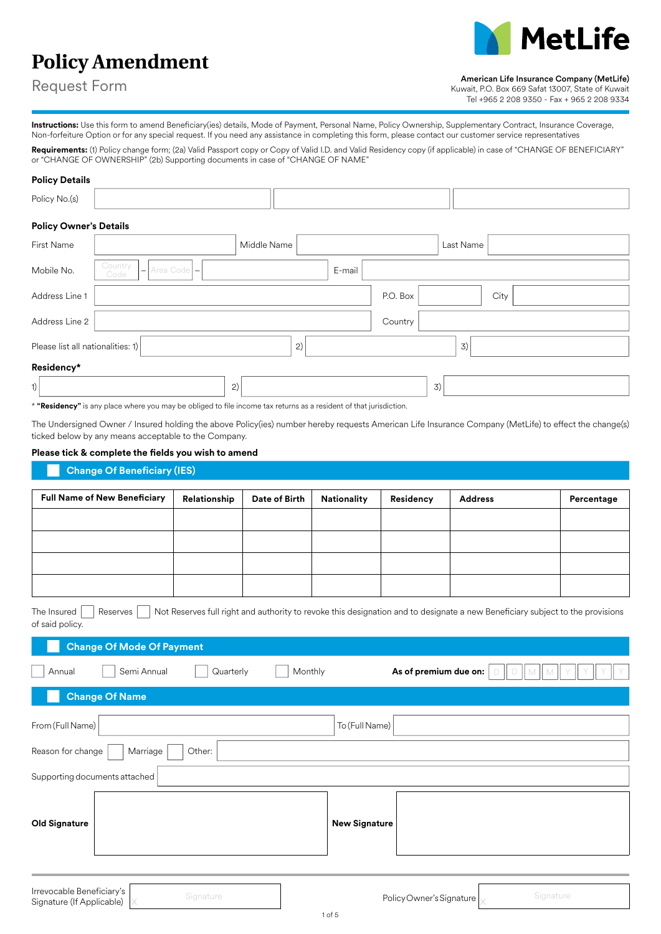# **MetLife**

# **Policy Amendment**

Request Form

Kuwait, P.O. Box 669 Safat 13007, State of Kuwait Tel +965 2 208 9350 - Fax + 965 2 208 9334

**Instructions:** Use this form to amend Beneficiary(ies) details, Mode of Payment, Personal Name, Policy Ownership, Supplementary Contract, Insurance Coverage, Non-forfeiture Option or for any special request. If you need any assistance in completing this form, please contact our customer service representatives

**Requirements:** (1) Policy change form; (2a) Valid Passport copy or Copy of Valid I.D. and Valid Residency copy (if applicable) in case of "CHANGE OF BENEFICIARY" or "CHANGE OF OWNERSHIP" (2b) Supporting documents in case of "CHANGE OF NAME"

## **Policy Details**

| Policy No.(s)                     |                                                            |             |        |          |           |      |  |
|-----------------------------------|------------------------------------------------------------|-------------|--------|----------|-----------|------|--|
| <b>Policy Owner's Details</b>     |                                                            |             |        |          |           |      |  |
| First Name                        |                                                            | Middle Name |        |          | Last Name |      |  |
| Mobile No.                        | Country<br>Area Code -<br>$\overline{\phantom{0}}$<br>Code |             | E-mail |          |           |      |  |
| Address Line 1                    |                                                            |             |        | P.O. Box |           | City |  |
| Address Line 2                    |                                                            |             |        | Country  |           |      |  |
| Please list all nationalities: 1) |                                                            | 2)          |        |          | 3)        |      |  |
| Residency*                        |                                                            |             |        |          |           |      |  |
| 1)                                |                                                            | 2)          |        |          | 3)        |      |  |

\* **"Residency"** is any place where you may be obliged to file income tax returns as a resident of that jurisdiction.

The Undersigned Owner / Insured holding the above Policy(ies) number hereby requests American Life Insurance Company (MetLife) to effect the change(s) ticked below by any means acceptable to the Company.

# **Please tick & complete the fields you wish to amend**

# **Change Of Beneficiary (IES)**

| <b>Full Name of New Beneficiary</b> | Relationship | Date of Birth | <b>Nationality</b> | Residency | <b>Address</b> | Percentage |
|-------------------------------------|--------------|---------------|--------------------|-----------|----------------|------------|
|                                     |              |               |                    |           |                |            |
|                                     |              |               |                    |           |                |            |
|                                     |              |               |                    |           |                |            |
|                                     |              |               |                    |           |                |            |

|                 |  | The Insured $\Box$ Reserves $\Box$ Not Reserves full right and authority to revoke this designation and to designate a new Beneficiary subject to the provisions |
|-----------------|--|------------------------------------------------------------------------------------------------------------------------------------------------------------------|
| of said policy. |  |                                                                                                                                                                  |

| Reserves<br>The Insured<br>of said policy.                          | Not Reserves full right and authority to revoke this designation and to designate a new Beneficiary subject to the provisions |
|---------------------------------------------------------------------|-------------------------------------------------------------------------------------------------------------------------------|
| <b>Change Of Mode Of Payment</b>                                    |                                                                                                                               |
| Semi Annual<br>Monthly<br>Quarterly<br>Annual                       | As of premium due on:                                                                                                         |
| <b>Change Of Name</b>                                               |                                                                                                                               |
| From (Full Name)                                                    | To (Full Name)                                                                                                                |
| Reason for change<br>Marriage<br>Other:                             |                                                                                                                               |
| Supporting documents attached                                       |                                                                                                                               |
| <b>Old Signature</b>                                                | <b>New Signature</b>                                                                                                          |
| Irrevocable Beneficiary's<br>Signature<br>Signature (If Applicable) | Signature<br>Policy Owner's Signature                                                                                         |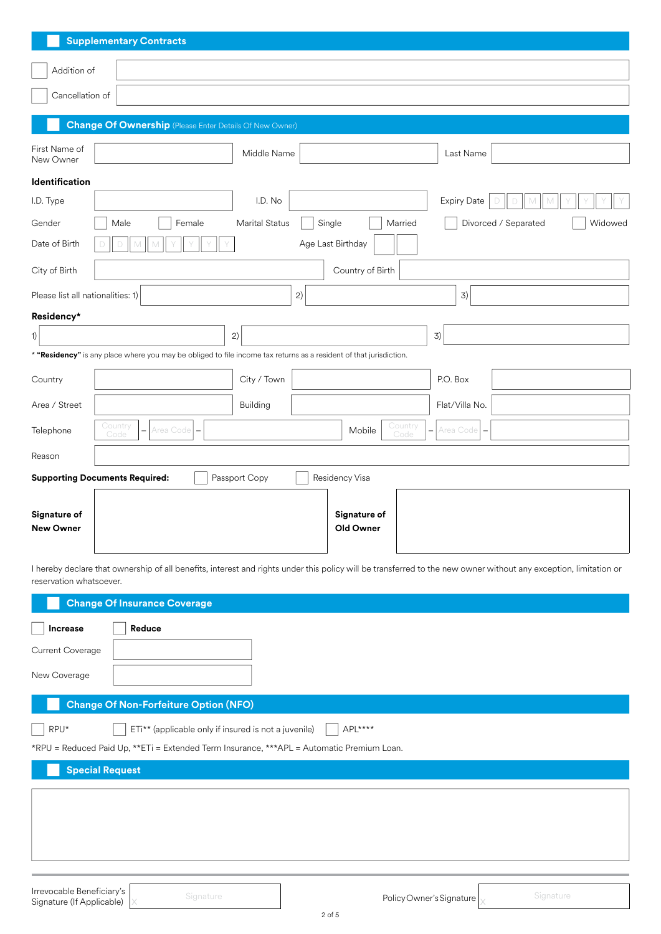|                                   | <b>Supplementary Contracts</b>                                                                                                                                   |
|-----------------------------------|------------------------------------------------------------------------------------------------------------------------------------------------------------------|
| Addition of                       |                                                                                                                                                                  |
| Cancellation of                   |                                                                                                                                                                  |
|                                   | <b>Change Of Ownership</b> (Please Enter Details Of New Owner)                                                                                                   |
| First Name of                     |                                                                                                                                                                  |
| New Owner                         | Middle Name<br>Last Name                                                                                                                                         |
| Identification                    |                                                                                                                                                                  |
| I.D. Type                         | I.D. No<br><b>Expiry Date</b>                                                                                                                                    |
| Gender                            | Marital Status<br>Single<br>Divorced / Separated<br>Female<br>Married<br>Widowed<br>Male                                                                         |
| Date of Birth                     | Age Last Birthday                                                                                                                                                |
| City of Birth                     | Country of Birth                                                                                                                                                 |
| Please list all nationalities: 1) | 2)<br>3)                                                                                                                                                         |
| Residency*                        |                                                                                                                                                                  |
| 1)                                | 2)<br>3)                                                                                                                                                         |
|                                   | * "Residency" is any place where you may be obliged to file income tax returns as a resident of that jurisdiction.                                               |
| Country                           | City / Town<br>P.O. Box                                                                                                                                          |
| Area / Street                     | Building<br>Flat/Villa No.                                                                                                                                       |
| Telephone                         | Country<br>Country<br>Area Code<br>Mobile<br>Area Code<br>Code<br>Code                                                                                           |
| Reason                            |                                                                                                                                                                  |
|                                   | Passport Copy<br>Residency Visa<br><b>Supporting Documents Required:</b>                                                                                         |
| Signature of<br><b>New Owner</b>  | Signature of<br>Old Owner                                                                                                                                        |
| reservation whatsoever.           | I hereby declare that ownership of all benefits, interest and rights under this policy will be transferred to the new owner without any exception, limitation or |
|                                   | <b>Change Of Insurance Coverage</b>                                                                                                                              |
| Increase                          | Reduce                                                                                                                                                           |
| Current Coverage                  |                                                                                                                                                                  |
| New Coverage                      |                                                                                                                                                                  |
|                                   | <b>Change Of Non-Forfeiture Option (NFO)</b>                                                                                                                     |
| RPU*                              | ETi** (applicable only if insured is not a juvenile)<br>APL****                                                                                                  |
|                                   | *RPU = Reduced Paid Up, **ETi = Extended Term Insurance, ***APL = Automatic Premium Loan.                                                                        |
|                                   | <b>Special Request</b>                                                                                                                                           |
|                                   |                                                                                                                                                                  |

l**rrevocable Beneficiary's**<br>Signature (If Applicable) x Signature Signature and Signature and Signature and Signature and Signature and Signature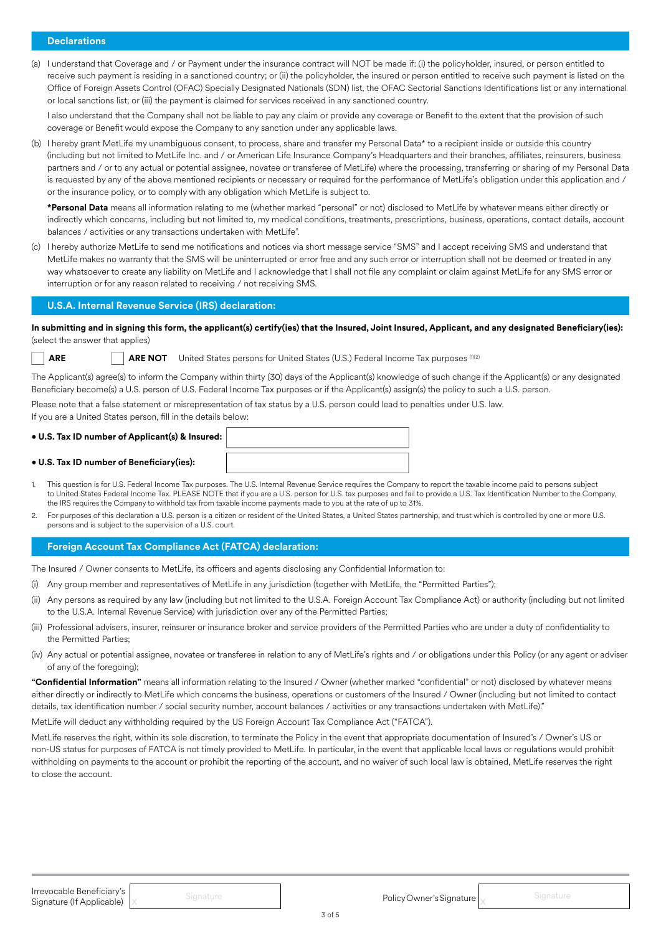# **Declarations**

(a) I understand that Coverage and / or Payment under the insurance contract will NOT be made if: (i) the policyholder, insured, or person entitled to receive such payment is residing in a sanctioned country; or (ii) the policyholder, the insured or person entitled to receive such payment is listed on the Office of Foreign Assets Control (OFAC) Specially Designated Nationals (SDN) list, the OFAC Sectorial Sanctions Identifications list or any international or local sanctions list; or (iii) the payment is claimed for services received in any sanctioned country.

I also understand that the Company shall not be liable to pay any claim or provide any coverage or Benefit to the extent that the provision of such coverage or Benefit would expose the Company to any sanction under any applicable laws.

(b) I hereby grant MetLife my unambiguous consent, to process, share and transfer my Personal Data\* to a recipient inside or outside this country (including but not limited to MetLife Inc. and / or American Life Insurance Company's Headquarters and their branches, affiliates, reinsurers, business partners and / or to any actual or potential assignee, novatee or transferee of MetLife) where the processing, transferring or sharing of my Personal Data is requested by any of the above mentioned recipients or necessary or required for the performance of MetLife's obligation under this application and / or the insurance policy, or to comply with any obligation which MetLife is subject to.

**\*Personal Data** means all information relating to me (whether marked "personal" or not) disclosed to MetLife by whatever means either directly or indirectly which concerns, including but not limited to, my medical conditions, treatments, prescriptions, business, operations, contact details, account balances / activities or any transactions undertaken with MetLife".

(c) I hereby authorize MetLife to send me notifications and notices via short message service "SMS" and I accept receiving SMS and understand that MetLife makes no warranty that the SMS will be uninterrupted or error free and any such error or interruption shall not be deemed or treated in any way whatsoever to create any liability on MetLife and I acknowledge that I shall not file any complaint or claim against MetLife for any SMS error or interruption or for any reason related to receiving / not receiving SMS.

#### **U.S.A. Internal Revenue Service (IRS) declaration:**

**In submitting and in signing this form, the applicant(s) certify(ies) that the Insured, Joint Insured, Applicant, and any designated Beneficiary(ies):**  (select the answer that applies)

**ARE ARE NOT** United States persons for United States (U.S.) Federal Income Tax purposes (1)(2)

The Applicant(s) agree(s) to inform the Company within thirty (30) days of the Applicant(s) knowledge of such change if the Applicant(s) or any designated Beneficiary become(s) a U.S. person of U.S. Federal Income Tax purposes or if the Applicant(s) assign(s) the policy to such a U.S. person.

Please note that a false statement or misrepresentation of tax status by a U.S. person could lead to penalties under U.S. law.

If you are a United States person, fill in the details below:

#### **• U.S. Tax ID number of Applicant(s) & Insured:**

#### **• U.S. Tax ID number of Beneficiary(ies):**

- 1. This question is for U.S. Federal Income Tax purposes. The U.S. Internal Revenue Service requires the Company to report the taxable income paid to persons subject to United States Federal Income Tax. PLEASE NOTE that if you are a U.S. person for U.S. tax purposes and fail to provide a U.S. Tax Identification Number to the Company, the IRS requires the Company to withhold tax from taxable income payments made to you at the rate of up to 31%.
- 2. For purposes of this declaration a U.S. person is a citizen or resident of the United States, a United States partnership, and trust which is controlled by one or more U.S. persons and is subject to the supervision of a U.S. court.

#### **Foreign Account Tax Compliance Act (FATCA) declaration:**

The Insured / Owner consents to MetLife, its officers and agents disclosing any Confidential Information to:

- (i) Any group member and representatives of MetLife in any jurisdiction (together with MetLife, the "Permitted Parties");
- (ii) Any persons as required by any law (including but not limited to the U.S.A. Foreign Account Tax Compliance Act) or authority (including but not limited to the U.S.A. Internal Revenue Service) with jurisdiction over any of the Permitted Parties;
- (iii) Professional advisers, insurer, reinsurer or insurance broker and service providers of the Permitted Parties who are under a duty of confidentiality to the Permitted Parties;
- (iv) Any actual or potential assignee, novatee or transferee in relation to any of MetLife's rights and / or obligations under this Policy (or any agent or adviser of any of the foregoing);

**"Confidential Information"** means all information relating to the Insured / Owner (whether marked "confidential" or not) disclosed by whatever means either directly or indirectly to MetLife which concerns the business, operations or customers of the Insured / Owner (including but not limited to contact details, tax identification number / social security number, account balances / activities or any transactions undertaken with MetLife)."

MetLife will deduct any withholding required by the US Foreign Account Tax Compliance Act ("FATCA").

MetLife reserves the right, within its sole discretion, to terminate the Policy in the event that appropriate documentation of Insured's / Owner's US or non-US status for purposes of FATCA is not timely provided to MetLife. In particular, in the event that applicable local laws or regulations would prohibit withholding on payments to the account or prohibit the reporting of the account, and no waiver of such local law is obtained, MetLife reserves the right to close the account.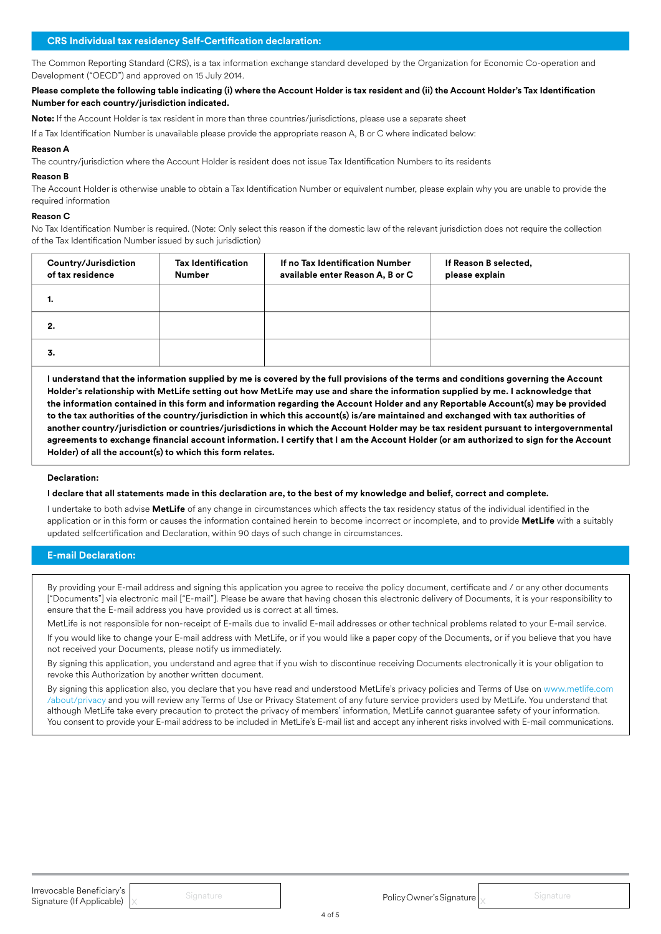The Common Reporting Standard (CRS), is a tax information exchange standard developed by the Organization for Economic Co-operation and Development ("OECD") and approved on 15 July 2014.

**Please complete the following table indicating (i) where the Account Holder is tax resident and (ii) the Account Holder's Tax Identification Number for each country/jurisdiction indicated.**

**Note:** If the Account Holder is tax resident in more than three countries/jurisdictions, please use a separate sheet

If a Tax Identification Number is unavailable please provide the appropriate reason A, B or C where indicated below:

#### **Reason A**

The country/jurisdiction where the Account Holder is resident does not issue Tax Identification Numbers to its residents

#### **Reason B**

The Account Holder is otherwise unable to obtain a Tax Identification Number or equivalent number, please explain why you are unable to provide the required information

#### **Reason C**

No Tax Identification Number is required. (Note: Only select this reason if the domestic law of the relevant jurisdiction does not require the collection of the Tax Identification Number issued by such jurisdiction)

| Country/Jurisdiction<br>of tax residence | <b>Tax Identification</b><br><b>Number</b> | If no Tax Identification Number<br>available enter Reason A, B or C | If Reason B selected,<br>please explain |
|------------------------------------------|--------------------------------------------|---------------------------------------------------------------------|-----------------------------------------|
| ٠.                                       |                                            |                                                                     |                                         |
| 2.                                       |                                            |                                                                     |                                         |
| 3.                                       |                                            |                                                                     |                                         |

**I understand that the information supplied by me is covered by the full provisions of the terms and conditions governing the Account Holder's relationship with MetLife setting out how MetLife may use and share the information supplied by me. I acknowledge that the information contained in this form and information regarding the Account Holder and any Reportable Account(s) may be provided to the tax authorities of the country/jurisdiction in which this account(s) is/are maintained and exchanged with tax authorities of another country/jurisdiction or countries/jurisdictions in which the Account Holder may be tax resident pursuant to intergovernmental agreements to exchange financial account information. I certify that I am the Account Holder (or am authorized to sign for the Account Holder) of all the account(s) to which this form relates.**

#### **Declaration:**

#### **I declare that all statements made in this declaration are, to the best of my knowledge and belief, correct and complete.**

I undertake to both advise **MetLife** of any change in circumstances which affects the tax residency status of the individual identified in the application or in this form or causes the information contained herein to become incorrect or incomplete, and to provide **MetLife** with a suitably updated selfcertification and Declaration, within 90 days of such change in circumstances.

# **E-mail Declaration:**

By providing your E-mail address and signing this application you agree to receive the policy document, certificate and / or any other documents ["Documents"] via electronic mail ["E-mail"]. Please be aware that having chosen this electronic delivery of Documents, it is your responsibility to ensure that the E-mail address you have provided us is correct at all times.

MetLife is not responsible for non-receipt of E-mails due to invalid E-mail addresses or other technical problems related to your E-mail service.

If you would like to change your E-mail address with MetLife, or if you would like a paper copy of the Documents, or if you believe that you have not received your Documents, please notify us immediately.

By signing this application, you understand and agree that if you wish to discontinue receiving Documents electronically it is your obligation to revoke this Authorization by another written document.

By signing this application also, you declare that you have read and understood MetLife's privacy policies and Terms of Use on www.metlife.com /about/privacy and you will review any Terms of Use or Privacy Statement of any future service providers used by MetLife. You understand that although MetLife take every precaution to protect the privacy of members' information, MetLife cannot guarantee safety of your information. You consent to provide your E-mail address to be included in MetLife's E-mail list and accept any inherent risks involved with E-mail communications.

**Irrevocable Beneficiary's**<br>Signature (If Applicable) x and Signature in the International Component Policy Owner's Signature  $\big|$ x Signature **Irrevocable Beneficiary's**<br> **Signature (If Applicable)** X Signature